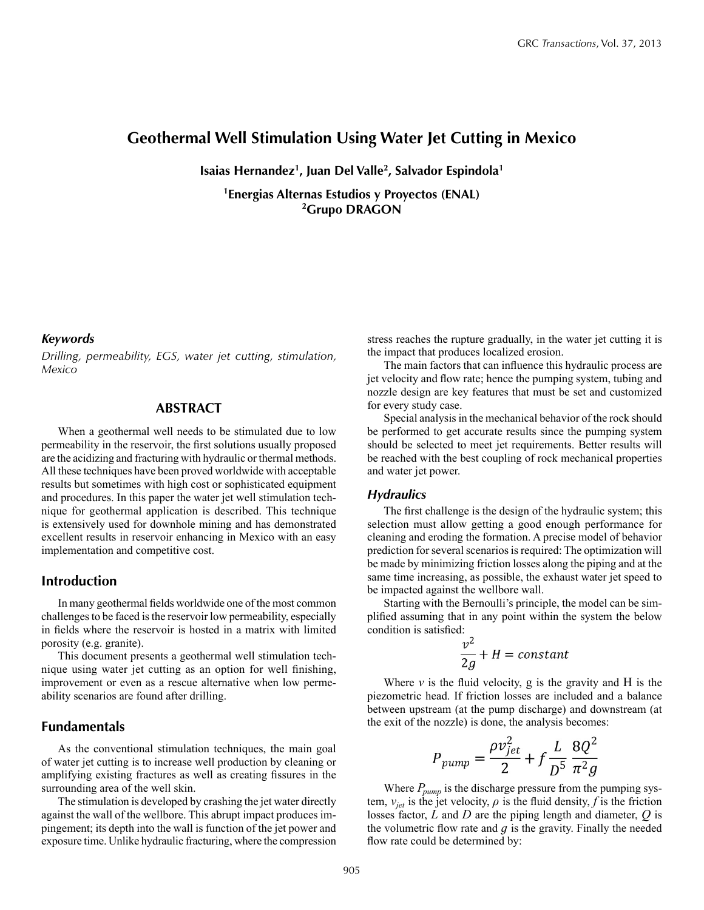# **Geothermal Well Stimulation Using Water Jet Cutting in Mexico**

**Isaias Hernandez1, Juan Del Valle2, Salvador Espindola1**

**1Energias Alternas Estudios y Proyectos (ENAL) 2Grupo DRAGON**

#### *Keywords*

*Drilling, permeability, EGS, water jet cutting, stimulation, Mexico*

### **Abstract**

When a geothermal well needs to be stimulated due to low permeability in the reservoir, the first solutions usually proposed are the acidizing and fracturing with hydraulic or thermal methods. All these techniques have been proved worldwide with acceptable results but sometimes with high cost or sophisticated equipment and procedures. In this paper the water jet well stimulation technique for geothermal application is described. This technique is extensively used for downhole mining and has demonstrated excellent results in reservoir enhancing in Mexico with an easy implementation and competitive cost.

### **Introduction**

In many geothermal fields worldwide one of the most common challenges to be faced is the reservoir low permeability, especially in fields where the reservoir is hosted in a matrix with limited porosity (e.g. granite).

This document presents a geothermal well stimulation technique using water jet cutting as an option for well finishing, improvement or even as a rescue alternative when low permeability scenarios are found after drilling.

### **Fundamentals**

As the conventional stimulation techniques, the main goal of water jet cutting is to increase well production by cleaning or amplifying existing fractures as well as creating fissures in the surrounding area of the well skin.

The stimulation is developed by crashing the jet water directly against the wall of the wellbore. This abrupt impact produces impingement; its depth into the wall is function of the jet power and exposure time. Unlike hydraulic fracturing, where the compression stress reaches the rupture gradually, in the water jet cutting it is the impact that produces localized erosion.

The main factors that can influence this hydraulic process are jet velocity and flow rate; hence the pumping system, tubing and nozzle design are key features that must be set and customized for every study case.

Special analysis in the mechanical behavior of the rock should be performed to get accurate results since the pumping system should be selected to meet jet requirements. Better results will be reached with the best coupling of rock mechanical properties and water jet power.

#### *Hydraulics*

The first challenge is the design of the hydraulic system; this selection must allow getting a good enough performance for cleaning and eroding the formation. A precise model of behavior prediction for several scenarios is required: The optimization will be made by minimizing friction losses along the piping and at the same time increasing, as possible, the exhaust water jet speed to be impacted against the wellbore wall.

Starting with the Bernoulli's principle, the model can be simplified assuming that in any point within the system the below condition is satisfied:

$$
\frac{v^2}{2g} + H = constant
$$

Where  $\nu$  is the fluid velocity,  $g$  is the gravity and  $H$  is the piezometric head. If friction losses are included and a balance between upstream (at the pump discharge) and downstream (at the exit of the nozzle) is done, the analysis becomes:

$$
P_{pump} = \frac{\rho v_{jet}^2}{2} + f \frac{L}{D^5} \frac{8Q^2}{\pi^2 g}
$$

Where  $P_{pump}$  is the discharge pressure from the pumping system,  $v_{jet}$  is the jet velocity,  $\rho$  is the fluid density,  $f$  is the friction losses factor, *L* and *D* are the piping length and diameter, *Q* is the volumetric flow rate and  $q$  is the gravity. Finally the needed flow rate could be determined by: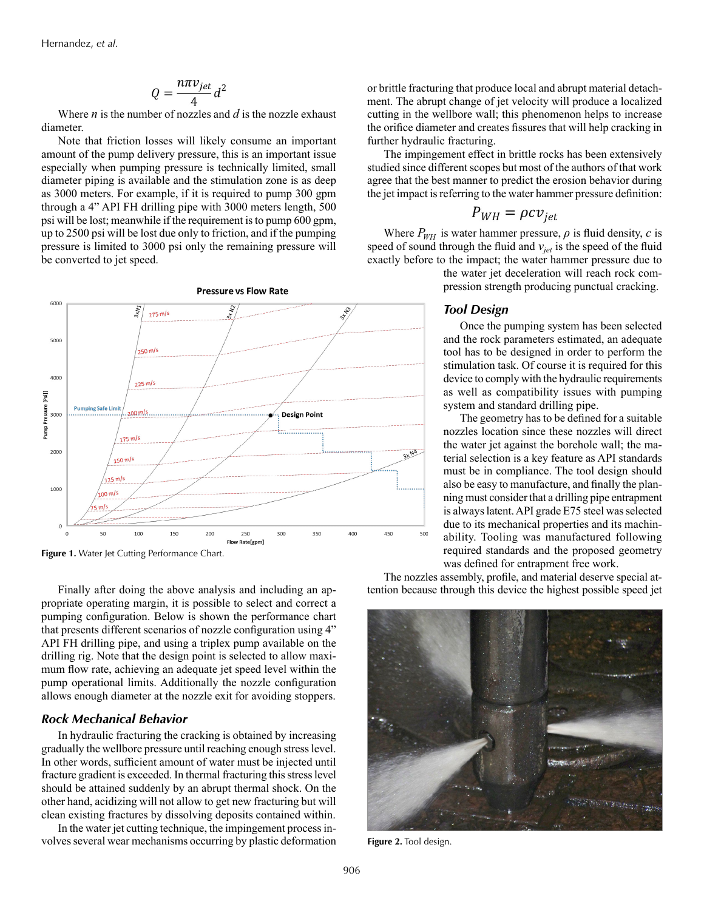$$
Q = \frac{n\pi v_{jet}}{4}d^2
$$

Where *n* is the number of nozzles and *d* is the nozzle exhaust diameter.

Note that friction losses will likely consume an important amount of the pump delivery pressure, this is an important issue especially when pumping pressure is technically limited, small diameter piping is available and the stimulation zone is as deep as 3000 meters. For example, if it is required to pump 300 gpm through a 4" API FH drilling pipe with 3000 meters length, 500 psi will be lost; meanwhile if the requirement is to pump 600 gpm, up to 2500 psi will be lost due only to friction, and if the pumping pressure is limited to 3000 psi only the remaining pressure will be converted to jet speed.



Figure 1. Water Jet Cutting Performance Chart.

Finally after doing the above analysis and including an appropriate operating margin, it is possible to select and correct a pumping configuration. Below is shown the performance chart that presents different scenarios of nozzle configuration using 4" API FH drilling pipe, and using a triplex pump available on the drilling rig. Note that the design point is selected to allow maximum flow rate, achieving an adequate jet speed level within the pump operational limits. Additionally the nozzle configuration allows enough diameter at the nozzle exit for avoiding stoppers.

#### *Rock Mechanical Behavior*

In hydraulic fracturing the cracking is obtained by increasing gradually the wellbore pressure until reaching enough stress level. In other words, sufficient amount of water must be injected until fracture gradient is exceeded. In thermal fracturing this stress level should be attained suddenly by an abrupt thermal shock. On the other hand, acidizing will not allow to get new fracturing but will clean existing fractures by dissolving deposits contained within.

In the water jet cutting technique, the impingement process involves several wear mechanisms occurring by plastic deformation or brittle fracturing that produce local and abrupt material detachment. The abrupt change of jet velocity will produce a localized cutting in the wellbore wall; this phenomenon helps to increase the orifice diameter and creates fissures that will help cracking in further hydraulic fracturing.

The impingement effect in brittle rocks has been extensively studied since different scopes but most of the authors of that work agree that the best manner to predict the erosion behavior during the jet impact is referring to the water hammer pressure definition:

$$
P_{WH} = \rho c v_{jet}
$$

Where  $P_{WH}$  is water hammer pressure,  $\rho$  is fluid density,  $c$  is speed of sound through the fluid and  $v_{jet}$  is the speed of the fluid exactly before to the impact; the water hammer pressure due to

> the water jet deceleration will reach rock compression strength producing punctual cracking.

### *Tool Design*

Once the pumping system has been selected and the rock parameters estimated, an adequate tool has to be designed in order to perform the stimulation task. Of course it is required for this device to comply with the hydraulic requirements as well as compatibility issues with pumping system and standard drilling pipe.

The geometry has to be defined for a suitable nozzles location since these nozzles will direct the water jet against the borehole wall; the material selection is a key feature as API standards must be in compliance. The tool design should also be easy to manufacture, and finally the planning must consider that a drilling pipe entrapment is always latent. API grade E75 steel was selected due to its mechanical properties and its machinability. Tooling was manufactured following required standards and the proposed geometry was defined for entrapment free work.

The nozzles assembly, profile, and material deserve special attention because through this device the highest possible speed jet



**Figure 2.** Tool design.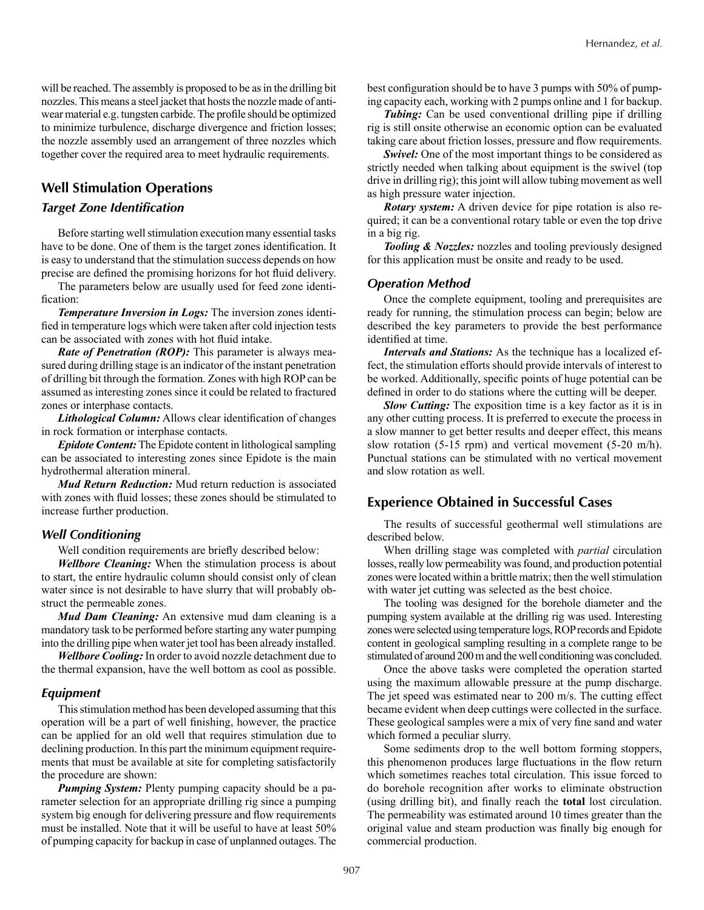will be reached. The assembly is proposed to be as in the drilling bit nozzles. This means a steel jacket that hosts the nozzle made of antiwear material e.g. tungsten carbide. The profile should be optimized to minimize turbulence, discharge divergence and friction losses; the nozzle assembly used an arrangement of three nozzles which together cover the required area to meet hydraulic requirements.

### **Well Stimulation Operations**

#### *Target Zone Identification*

Before starting well stimulation execution many essential tasks have to be done. One of them is the target zones identification. It is easy to understand that the stimulation success depends on how precise are defined the promising horizons for hot fluid delivery.

The parameters below are usually used for feed zone identification:

*Temperature Inversion in Logs:* The inversion zones identified in temperature logs which were taken after cold injection tests can be associated with zones with hot fluid intake.

*Rate of Penetration (ROP):* This parameter is always measured during drilling stage is an indicator of the instant penetration of drilling bit through the formation. Zones with high ROP can be assumed as interesting zones since it could be related to fractured zones or interphase contacts.

*Lithological Column:* Allows clear identification of changes in rock formation or interphase contacts.

*Epidote Content:* The Epidote content in lithological sampling can be associated to interesting zones since Epidote is the main hydrothermal alteration mineral.

*Mud Return Reduction:* Mud return reduction is associated with zones with fluid losses; these zones should be stimulated to increase further production.

#### *Well Conditioning*

Well condition requirements are briefly described below:

*Wellbore Cleaning:* When the stimulation process is about to start, the entire hydraulic column should consist only of clean water since is not desirable to have slurry that will probably obstruct the permeable zones.

*Mud Dam Cleaning:* An extensive mud dam cleaning is a mandatory task to be performed before starting any water pumping into the drilling pipe when water jet tool has been already installed.

*Wellbore Cooling:* In order to avoid nozzle detachment due to the thermal expansion, have the well bottom as cool as possible.

#### *Equipment*

This stimulation method has been developed assuming that this operation will be a part of well finishing, however, the practice can be applied for an old well that requires stimulation due to declining production. In this part the minimum equipment requirements that must be available at site for completing satisfactorily the procedure are shown:

*Pumping System:* Plenty pumping capacity should be a parameter selection for an appropriate drilling rig since a pumping system big enough for delivering pressure and flow requirements must be installed. Note that it will be useful to have at least 50% of pumping capacity for backup in case of unplanned outages. The best configuration should be to have 3 pumps with 50% of pumping capacity each, working with 2 pumps online and 1 for backup.

*Tubing:* Can be used conventional drilling pipe if drilling rig is still onsite otherwise an economic option can be evaluated taking care about friction losses, pressure and flow requirements.

*Swivel:* One of the most important things to be considered as strictly needed when talking about equipment is the swivel (top drive in drilling rig); this joint will allow tubing movement as well as high pressure water injection.

*Rotary system:* A driven device for pipe rotation is also required; it can be a conventional rotary table or even the top drive in a big rig.

*Tooling & Nozzles:* nozzles and tooling previously designed for this application must be onsite and ready to be used.

#### *Operation Method*

Once the complete equipment, tooling and prerequisites are ready for running, the stimulation process can begin; below are described the key parameters to provide the best performance identified at time.

*Intervals and Stations:* As the technique has a localized effect, the stimulation efforts should provide intervals of interest to be worked. Additionally, specific points of huge potential can be defined in order to do stations where the cutting will be deeper.

*Slow Cutting:* The exposition time is a key factor as it is in any other cutting process. It is preferred to execute the process in a slow manner to get better results and deeper effect, this means slow rotation (5-15 rpm) and vertical movement (5-20 m/h). Punctual stations can be stimulated with no vertical movement and slow rotation as well.

### **Experience Obtained in Successful Cases**

The results of successful geothermal well stimulations are described below.

When drilling stage was completed with *partial* circulation losses, really low permeability was found, and production potential zones were located within a brittle matrix; then the well stimulation with water jet cutting was selected as the best choice.

The tooling was designed for the borehole diameter and the pumping system available at the drilling rig was used. Interesting zones were selected using temperature logs, ROP records and Epidote content in geological sampling resulting in a complete range to be stimulated of around 200 m and the well conditioning was concluded.

Once the above tasks were completed the operation started using the maximum allowable pressure at the pump discharge. The jet speed was estimated near to 200 m/s. The cutting effect became evident when deep cuttings were collected in the surface. These geological samples were a mix of very fine sand and water which formed a peculiar slurry.

Some sediments drop to the well bottom forming stoppers, this phenomenon produces large fluctuations in the flow return which sometimes reaches total circulation. This issue forced to do borehole recognition after works to eliminate obstruction (using drilling bit), and finally reach the **total** lost circulation. The permeability was estimated around 10 times greater than the original value and steam production was finally big enough for commercial production.